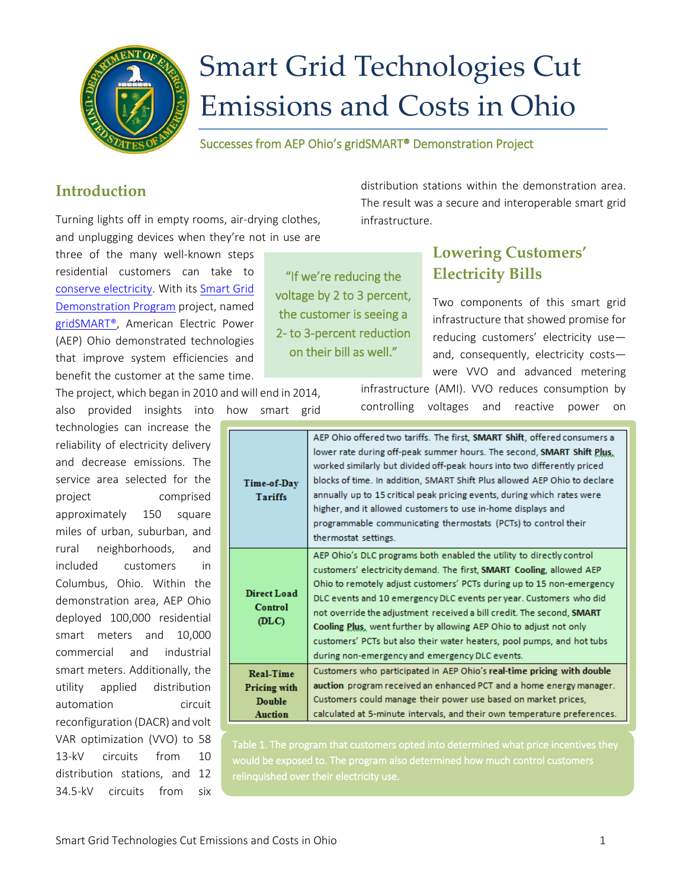

# Smart Grid Technologies Cut Emissions and Costs in Ohio

Successes from AEP Ohio's gridSMART® Demonstration Project

## **Introduction**

Turning lights off in empty rooms, air-drying clothes, and unplugging devices when they're not in use are

three of the many well-known steps residential customers can take to [conserve electricity.](http://energy.gov/energysaver/articles/energy-saver-guide-tips-saving-money-and-energy-home) With its [Smart Grid](https://smartgrid.gov/recovery_act/overview/smart_grid_demonstration_program)  [Demonstration Program](https://smartgrid.gov/recovery_act/overview/smart_grid_demonstration_program) project, named [gridSMART®,](https://www.smartgrid.gov/project/aep_ohio_gridsmartsm_demonstration_project) American Electric Power (AEP) Ohio demonstrated technologies that improve system efficiencies and benefit the customer at the same time.

The project, which began in 2010 and will end in 2014,

also provided insights into how smart grid technologies can increase the reliability of electricity delivery and decrease emissions. The service area selected for the project comprised approximately 150 square miles of urban, suburban, and rural neighborhoods, and included customers in Columbus, Ohio. Within the demonstration area, AEP Ohio deployed 100,000 residential smart meters and 10,000 commercial and industrial smart meters. Additionally, the utility applied distribution automation circuit reconfiguration (DACR) and volt VAR optimization (VVO) to 58 13-kV circuits from 10 distribution stations, and 12 34.5-kV circuits from six

"If we're reducing the voltage by 2 to 3 percent, the customer is seeing a 2- to 3-percent reduction on their bill as well."

distribution stations within the demonstration area. The result was a secure and interoperable smart grid infrastructure.

# **Lowering Customers' Electricity Bills**

Two components of this smart grid infrastructure that showed promise for reducing customers' electricity use and, consequently, electricity costs were VVO and advanced metering

infrastructure (AMI). VVO reduces consumption by controlling voltages and reactive power on

| Time-of-Day<br><b>Tariffs</b>   | AEP Ohio offered two tariffs. The first, SMART Shift, offered consumers a<br>lower rate during off-peak summer hours. The second, SMART Shift Plus.<br>worked similarly but divided off-peak hours into two differently priced<br>blocks of time. In addition, SMART Shift Plus allowed AEP Ohio to declare<br>annually up to 15 critical peak pricing events, during which rates were<br>higher, and it allowed customers to use in-home displays and<br>programmable communicating thermostats (PCTs) to control their<br>thermostat settings.                       |
|---------------------------------|------------------------------------------------------------------------------------------------------------------------------------------------------------------------------------------------------------------------------------------------------------------------------------------------------------------------------------------------------------------------------------------------------------------------------------------------------------------------------------------------------------------------------------------------------------------------|
| Direct Load<br>Control<br>(DLC) | AEP Ohio's DLC programs both enabled the utility to directly control<br>customers' electricity demand. The first, SMART Cooling, allowed AEP<br>Ohio to remotely adjust customers' PCTs during up to 15 non-emergency<br>DLC events and 10 emergency DLC events per year. Customers who did<br>not override the adjustment received a bill credit. The second, SMART<br>Cooling Plus, went further by allowing AEP Ohio to adjust not only<br>customers' PCTs but also their water heaters, pool pumps, and hot tubs<br>during non-emergency and emergency DLC events. |
| <b>Real-Time</b>                | Customers who participated in AEP Ohio's real-time pricing with double                                                                                                                                                                                                                                                                                                                                                                                                                                                                                                 |
| <b>Pricing with</b>             | auction program received an enhanced PCT and a home energy manager.                                                                                                                                                                                                                                                                                                                                                                                                                                                                                                    |
| <b>Double</b>                   | Customers could manage their power use based on market prices,                                                                                                                                                                                                                                                                                                                                                                                                                                                                                                         |
| <b>Auction</b>                  | calculated at 5-minute intervals, and their own temperature preferences.                                                                                                                                                                                                                                                                                                                                                                                                                                                                                               |

Table 1. The program that customers opted into determined what price incentives they would be exposed to. The program also determined how much control customers relinquished over their electricity use.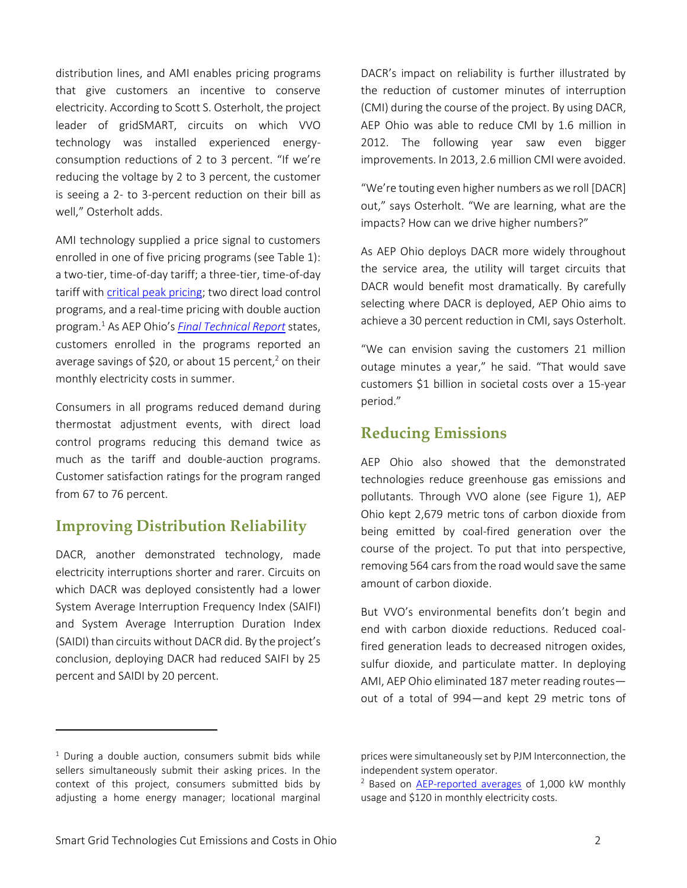distribution lines, and AMI enables pricing programs that give customers an incentive to conserve electricity. According to Scott S. Osterholt, the project leader of gridSMART, circuits on which VVO technology was installed experienced energyconsumption reductions of 2 to 3 percent. "If we're reducing the voltage by 2 to 3 percent, the customer is seeing a 2- to 3-percent reduction on their bill as well," Osterholt adds.

AMI technology supplied a price signal to customers enrolled in one of five pricing programs (see Table 1): a two-tier, time-of-day tariff; a three-tier, time-of-day tariff with [critical peak pricing;](https://www.smartgrid.gov/lexicon/6/letter_c) two direct load control programs, and a real-time pricing with double auction program. <sup>1</sup> As AEP Ohio's *[Final Technical Report](https://www.smartgrid.gov/sites/default/files/doc/files/AEP%20Ohio_DE-OE-0000193_Final%20Technical%20Report_06-23-2014.pdf)* states, customers enrolled in the programs reported an average savings of \$20, or about 15 percent,<sup>2</sup> on their monthly electricity costs in summer.

Consumers in all programs reduced demand during thermostat adjustment events, with direct load control programs reducing this demand twice as much as the tariff and double-auction programs. Customer satisfaction ratings for the program ranged from 67 to 76 percent.

#### **Improving Distribution Reliability**

DACR, another demonstrated technology, made electricity interruptions shorter and rarer. Circuits on which DACR was deployed consistently had a lower System Average Interruption Frequency Index (SAIFI) and System Average Interruption Duration Index (SAIDI) than circuits without DACR did. By the project's conclusion, deploying DACR had reduced SAIFI by 25 percent and SAIDI by 20 percent.

 $1$  During a double auction, consumers submit bids while sellers simultaneously submit their asking prices. In the context of this project, consumers submitted bids by adjusting a home energy manager; locational marginal

 $\overline{\phantom{a}}$ 

DACR's impact on reliability is further illustrated by the reduction of customer minutes of interruption (CMI) during the course of the project. By using DACR, AEP Ohio was able to reduce CMI by 1.6 million in 2012. The following year saw even bigger improvements. In 2013, 2.6 million CMI were avoided.

"We're touting even higher numbers as we roll [DACR] out," says Osterholt. "We are learning, what are the impacts? How can we drive higher numbers?"

As AEP Ohio deploys DACR more widely throughout the service area, the utility will target circuits that DACR would benefit most dramatically. By carefully selecting where DACR is deployed, AEP Ohio aims to achieve a 30 percent reduction in CMI, says Osterholt.

"We can envision saving the customers 21 million outage minutes a year," he said. "That would save customers \$1 billion in societal costs over a 15-year period."

## **Reducing Emissions**

AEP Ohio also showed that the demonstrated technologies reduce greenhouse gas emissions and pollutants. Through VVO alone (see Figure 1), AEP Ohio kept 2,679 metric tons of carbon dioxide from being emitted by coal-fired generation over the course of the project. To put that into perspective, removing 564 cars from the road would save the same amount of carbon dioxide.

But VVO's environmental benefits don't begin and end with carbon dioxide reductions. Reduced coalfired generation leads to decreased nitrogen oxides, sulfur dioxide, and particulate matter. In deploying AMI, AEP Ohio eliminated 187 meter reading routes out of a total of 994—and kept 29 metric tons of

prices were simultaneously set by PJM Interconnection, the independent system operator.

<sup>&</sup>lt;sup>2</sup> Based on [AEP-reported averages](https://aepohio.com/save/demoproject/SmartShift.aspx?ctype=h) of 1,000 kW monthly usage and \$120 in monthly electricity costs.